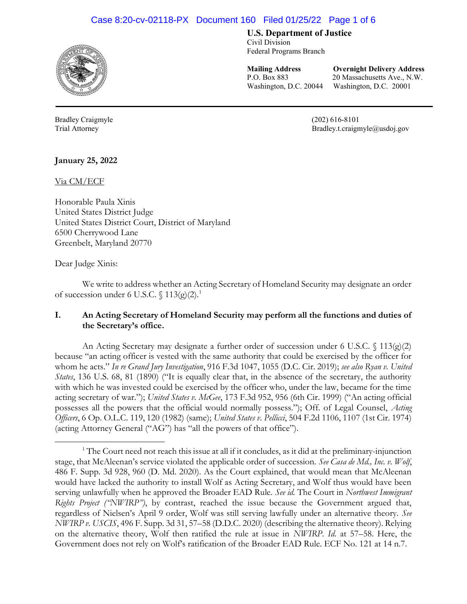# Case 8:20-cv-02118-PX Document 160 Filed 01/25/22 Page 1 of 6



Bradley Craigmyle (202) 616-8101

U.S. Department of Justice

Civil Division Federal Programs Branch

Mailing Address Overnight Delivery Address P.O. Box 883 20 Massachusetts Ave., N.W. Washington, D.C. 20044 Washington, D.C. 20001

l

Trial Attorney Bradley.t.craigmyle@usdoj.gov

January 25, 2022

Via CM/ECF

Honorable Paula Xinis United States District Judge United States District Court, District of Maryland 6500 Cherrywood Lane Greenbelt, Maryland 20770

Dear Judge Xinis:

 $\overline{a}$ 

We write to address whether an Acting Secretary of Homeland Security may designate an order of succession under 6 U.S.C.  $\int$  113(g)(2).<sup>1</sup>

## I. An Acting Secretary of Homeland Security may perform all the functions and duties of the Secretary's office.

An Acting Secretary may designate a further order of succession under 6 U.S.C.  $\{(113)(g)(2)\}$ because "an acting officer is vested with the same authority that could be exercised by the officer for whom he acts." In re Grand Jury Investigation, 916 F.3d 1047, 1055 (D.C. Cir. 2019); see also Ryan v. United States, 136 U.S. 68, 81 (1890) ("It is equally clear that, in the absence of the secretary, the authority with which he was invested could be exercised by the officer who, under the law, became for the time acting secretary of war."); United States v. McGee, 173 F.3d 952, 956 (6th Cir. 1999) ("An acting official possesses all the powers that the official would normally possess."); Off. of Legal Counsel, Acting Officers, 6 Op. O.L.C. 119, 120 (1982) (same); United States v. Pellicci, 504 F.2d 1106, 1107 (1st Cir. 1974) (acting Attorney General ("AG") has "all the powers of that office").

<sup>&</sup>lt;sup>1</sup> The Court need not reach this issue at all if it concludes, as it did at the preliminary-injunction stage, that McAleenan's service violated the applicable order of succession. See Casa de Md., Inc. v. Wolf, 486 F. Supp. 3d 928, 960 (D. Md. 2020). As the Court explained, that would mean that McAleenan would have lacked the authority to install Wolf as Acting Secretary, and Wolf thus would have been serving unlawfully when he approved the Broader EAD Rule. See id. The Court in Northwest Immigrant Rights Project ("NWIRP"), by contrast, reached the issue because the Government argued that, regardless of Nielsen's April 9 order, Wolf was still serving lawfully under an alternative theory. See NWIRP v. USCIS, 496 F. Supp. 3d 31, 57–58 (D.D.C. 2020) (describing the alternative theory). Relying on the alternative theory, Wolf then ratified the rule at issue in NWIRP. Id. at 57–58. Here, the Government does not rely on Wolf's ratification of the Broader EAD Rule. ECF No. 121 at 14 n.7.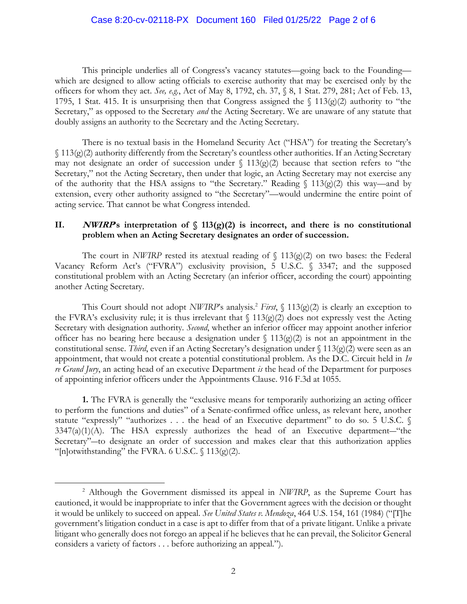This principle underlies all of Congress's vacancy statutes—going back to the Founding which are designed to allow acting officials to exercise authority that may be exercised only by the officers for whom they act. See, e.g., Act of May 8, 1792, ch. 37, § 8, 1 Stat. 279, 281; Act of Feb. 13, 1795, 1 Stat. 415. It is unsurprising then that Congress assigned the  $\int 113(g)(2)$  authority to "the Secretary," as opposed to the Secretary *and* the Acting Secretary. We are unaware of any statute that doubly assigns an authority to the Secretary and the Acting Secretary.

There is no textual basis in the Homeland Security Act ("HSA") for treating the Secretary's § 113(g)(2) authority differently from the Secretary's countless other authorities. If an Acting Secretary may not designate an order of succession under  $\int$  113(g)(2) because that section refers to "the Secretary," not the Acting Secretary, then under that logic, an Acting Secretary may not exercise any of the authority that the HSA assigns to "the Secretary." Reading  $\int$  113(g)(2) this way—and by extension, every other authority assigned to "the Secretary"—would undermine the entire point of acting service. That cannot be what Congress intended.

## II. *NWIRP*'s interpretation of  $\int$  113(g)(2) is incorrect, and there is no constitutional problem when an Acting Secretary designates an order of succession.

The court in NWIRP rested its atextual reading of  $\int$  113(g)(2) on two bases: the Federal Vacancy Reform Act's ("FVRA") exclusivity provision, 5 U.S.C. § 3347; and the supposed constitutional problem with an Acting Secretary (an inferior officer, according the court) appointing another Acting Secretary.

This Court should not adopt NWIRP's analysis.<sup>2</sup> First,  $\int$  113(g)(2) is clearly an exception to the FVRA's exclusivity rule; it is thus irrelevant that  $\int$  113(g)(2) does not expressly vest the Acting Secretary with designation authority. Second, whether an inferior officer may appoint another inferior officer has no bearing here because a designation under  $\int$  113(g)(2) is not an appointment in the constitutional sense. Third, even if an Acting Secretary's designation under  $\int 113(g)(2)$  were seen as an appointment, that would not create a potential constitutional problem. As the D.C. Circuit held in  $In$ re Grand Jury, an acting head of an executive Department is the head of the Department for purposes of appointing inferior officers under the Appointments Clause. 916 F.3d at 1055.

1. The FVRA is generally the "exclusive means for temporarily authorizing an acting officer to perform the functions and duties" of a Senate-confirmed office unless, as relevant here, another statute "expressly" "authorizes . . . the head of an Executive department" to do so. 5 U.S.C. § 3347(a)(1)(A). The HSA expressly authorizes the head of an Executive department―"the Secretary"-to designate an order of succession and makes clear that this authorization applies "[n]otwithstanding" the FVRA. 6 U.S.C.  $\int$  113(g)(2).

<sup>&</sup>lt;sup>2</sup> Although the Government dismissed its appeal in NWIRP, as the Supreme Court has cautioned, it would be inappropriate to infer that the Government agrees with the decision or thought it would be unlikely to succeed on appeal. See United States v. Mendoza, 464 U.S. 154, 161 (1984) ("The government's litigation conduct in a case is apt to differ from that of a private litigant. Unlike a private litigant who generally does not forego an appeal if he believes that he can prevail, the Solicitor General considers a variety of factors . . . before authorizing an appeal.").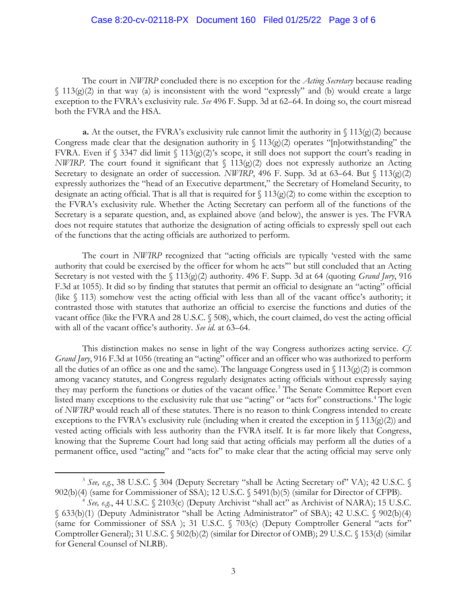#### Case 8:20-cv-02118-PX Document 160 Filed 01/25/22 Page 3 of 6

The court in NWIRP concluded there is no exception for the *Acting Secretary* because reading  $\{(113)$ (g)(2) in that way (a) is inconsistent with the word "expressly" and (b) would create a large exception to the FVRA's exclusivity rule. See 496 F. Supp. 3d at 62–64. In doing so, the court misread both the FVRA and the HSA.

**a.** At the outset, the FVRA's exclusivity rule cannot limit the authority in  $\int$  113(g)(2) because Congress made clear that the designation authority in  $\int 113(g)(2)$  operates "[n]otwithstanding" the FVRA. Even if § 3347 did limit § 113(g)(2)'s scope, it still does not support the court's reading in NWIRP. The court found it significant that  $\int$  113(g)(2) does not expressly authorize an Acting Secretary to designate an order of succession. NWIRP, 496 F. Supp. 3d at 63–64. But  $\{(113)(g)(2)\}$ expressly authorizes the "head of an Executive department," the Secretary of Homeland Security, to designate an acting official. That is all that is required for  $\frac{13}{(g)}(2)$  to come within the exception to the FVRA's exclusivity rule. Whether the Acting Secretary can perform all of the functions of the Secretary is a separate question, and, as explained above (and below), the answer is yes. The FVRA does not require statutes that authorize the designation of acting officials to expressly spell out each of the functions that the acting officials are authorized to perform.

The court in NWIRP recognized that "acting officials are typically 'vested with the same authority that could be exercised by the officer for whom he acts'" but still concluded that an Acting Secretary is not vested with the  $\int 113(g)(2)$  authority. 496 F. Supp. 3d at 64 (quoting *Grand Jury*, 916 F.3d at 1055). It did so by finding that statutes that permit an official to designate an "acting" official (like § 113) somehow vest the acting official with less than all of the vacant office's authority; it contrasted those with statutes that authorize an official to exercise the functions and duties of the vacant office (like the FVRA and 28 U.S.C. § 508), which, the court claimed, do vest the acting official with all of the vacant office's authority. See id. at 63–64.

This distinction makes no sense in light of the way Congress authorizes acting service. Cf. Grand Jury, 916 F.3d at 1056 (treating an "acting" officer and an officer who was authorized to perform all the duties of an office as one and the same). The language Congress used in  $\int 113(g)(2)$  is common among vacancy statutes, and Congress regularly designates acting officials without expressly saying they may perform the functions or duties of the vacant office.<sup>3</sup> The Senate Committee Report even listed many exceptions to the exclusivity rule that use "acting" or "acts for" constructions.<sup>4</sup> The logic of NWIRP would reach all of these statutes. There is no reason to think Congress intended to create exceptions to the FVRA's exclusivity rule (including when it created the exception in  $\{(13)(g)(2)\}$ ) and vested acting officials with less authority than the FVRA itself. It is far more likely that Congress, knowing that the Supreme Court had long said that acting officials may perform all the duties of a permanent office, used "acting" and "acts for" to make clear that the acting official may serve only

<sup>&</sup>lt;sup>3</sup> See, e.g., 38 U.S.C. § 304 (Deputy Secretary "shall be Acting Secretary of" VA); 42 U.S.C. § 902(b)(4) (same for Commissioner of SSA); 12 U.S.C. § 5491(b)(5) (similar for Director of CFPB).

 $4$  See, e.g., 44 U.S.C. § 2103(c) (Deputy Archivist "shall act" as Archivist of NARA); 15 U.S.C. § 633(b)(1) (Deputy Administrator "shall be Acting Administrator" of SBA); 42 U.S.C. § 902(b)(4) (same for Commissioner of SSA ); 31 U.S.C. § 703(c) (Deputy Comptroller General "acts for" Comptroller General); 31 U.S.C. § 502(b)(2) (similar for Director of OMB); 29 U.S.C. § 153(d) (similar for General Counsel of NLRB).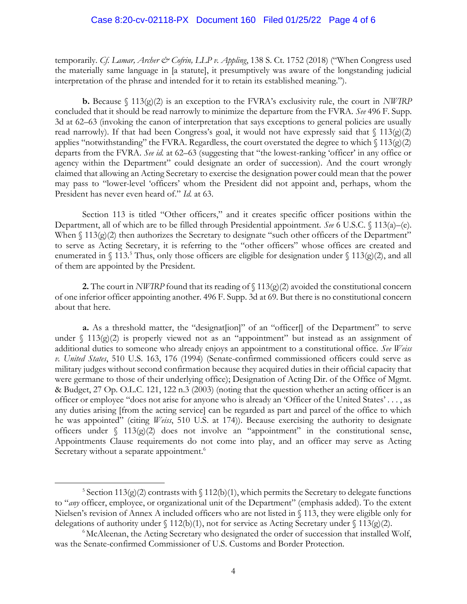temporarily. Cf. Lamar, Archer & Cofrin, LLP v. Appling, 138 S. Ct. 1752 (2018) ("When Congress used the materially same language in [a statute], it presumptively was aware of the longstanding judicial interpretation of the phrase and intended for it to retain its established meaning.").

**b.** Because  $\int$  113(g)(2) is an exception to the FVRA's exclusivity rule, the court in NWIRP concluded that it should be read narrowly to minimize the departure from the FVRA. See 496 F. Supp. 3d at 62–63 (invoking the canon of interpretation that says exceptions to general policies are usually read narrowly). If that had been Congress's goal, it would not have expressly said that  $\int 113(g)(2)$ applies "notwithstanding" the FVRA. Regardless, the court overstated the degree to which  $\frac{113(g)(2)}{2}$ departs from the FVRA. See id. at 62–63 (suggesting that "the lowest-ranking 'officer' in any office or agency within the Department" could designate an order of succession). And the court wrongly claimed that allowing an Acting Secretary to exercise the designation power could mean that the power may pass to "lower-level 'officers' whom the President did not appoint and, perhaps, whom the President has never even heard of." Id. at 63.

Section 113 is titled "Other officers," and it creates specific officer positions within the Department, all of which are to be filled through Presidential appointment. See 6 U.S.C. § 113(a)–(e). When  $\int$  113(g)(2) then authorizes the Secretary to designate "such other officers of the Department" to serve as Acting Secretary, it is referring to the "other officers" whose offices are created and enumerated in § 113.<sup>5</sup> Thus, only those officers are eligible for designation under § 113(g)(2), and all of them are appointed by the President.

2. The court in NWIRP found that its reading of  $\int 113(g)(2)$  avoided the constitutional concern of one inferior officer appointing another. 496 F. Supp. 3d at 69. But there is no constitutional concern about that here.

a. As a threshold matter, the "designat[ion]" of an "officer[] of the Department" to serve under  $\int$  113(g)(2) is properly viewed not as an "appointment" but instead as an assignment of additional duties to someone who already enjoys an appointment to a constitutional office. See Weiss v. United States, 510 U.S. 163, 176 (1994) (Senate-confirmed commissioned officers could serve as military judges without second confirmation because they acquired duties in their official capacity that were germane to those of their underlying office); Designation of Acting Dir. of the Office of Mgmt. & Budget, 27 Op. O.L.C. 121, 122 n.3 (2003) (noting that the question whether an acting officer is an officer or employee "does not arise for anyone who is already an 'Officer of the United States' . . . , as any duties arising [from the acting service] can be regarded as part and parcel of the office to which he was appointed" (citing *Weiss*, 510 U.S. at 174)). Because exercising the authority to designate officers under  $\int 113(g)(2)$  does not involve an "appointment" in the constitutional sense, Appointments Clause requirements do not come into play, and an officer may serve as Acting Secretary without a separate appointment.<sup>6</sup>

<sup>&</sup>lt;sup>5</sup> Section 113(g)(2) contrasts with  $\int$  112(b)(1), which permits the Secretary to delegate functions to "any officer, employee, or organizational unit of the Department" (emphasis added). To the extent Nielsen's revision of Annex A included officers who are not listed in § 113, they were eligible only for delegations of authority under § 112(b)(1), not for service as Acting Secretary under § 113(g)(2).

<sup>&</sup>lt;sup>6</sup>McAleenan, the Acting Secretary who designated the order of succession that installed Wolf, was the Senate-confirmed Commissioner of U.S. Customs and Border Protection.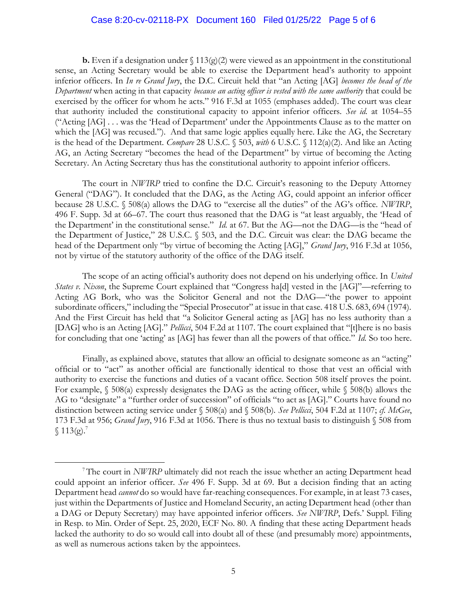#### Case 8:20-cv-02118-PX Document 160 Filed 01/25/22 Page 5 of 6

**b.** Even if a designation under  $\binom{13(g)(2)}{2}$  were viewed as an appointment in the constitutional sense, an Acting Secretary would be able to exercise the Department head's authority to appoint inferior officers. In In re Grand Jury, the D.C. Circuit held that "an Acting [AG] becomes the head of the Department when acting in that capacity because an acting officer is vested with the same authority that could be exercised by the officer for whom he acts." 916 F.3d at 1055 (emphases added). The court was clear that authority included the constitutional capacity to appoint inferior officers. See id. at 1054–55 ("Acting [AG] . . . was the 'Head of Department' under the Appointments Clause as to the matter on which the [AG] was recused."). And that same logic applies equally here. Like the AG, the Secretary is the head of the Department. Compare 28 U.S.C. § 503, with 6 U.S.C. § 112(a)(2). And like an Acting AG, an Acting Secretary "becomes the head of the Department" by virtue of becoming the Acting Secretary. An Acting Secretary thus has the constitutional authority to appoint inferior officers.

The court in NWIRP tried to confine the D.C. Circuit's reasoning to the Deputy Attorney General ("DAG"). It concluded that the DAG, as the Acting AG, could appoint an inferior officer because 28 U.S.C. § 508(a) allows the DAG to "exercise all the duties" of the AG's office. NWIRP, 496 F. Supp. 3d at 66–67. The court thus reasoned that the DAG is "at least arguably, the 'Head of the Department' in the constitutional sense." Id. at 67. But the AG—not the DAG—is the "head of the Department of Justice," 28 U.S.C. § 503, and the D.C. Circuit was clear: the DAG became the head of the Department only "by virtue of becoming the Acting [AG]," Grand Jury, 916 F.3d at 1056, not by virtue of the statutory authority of the office of the DAG itself.

The scope of an acting official's authority does not depend on his underlying office. In United States v. Nixon, the Supreme Court explained that "Congress ha[d] vested in the [AG]"—referring to Acting AG Bork, who was the Solicitor General and not the DAG—"the power to appoint subordinate officers," including the "Special Prosecutor" at issue in that case. 418 U.S. 683, 694 (1974). And the First Circuit has held that "a Solicitor General acting as [AG] has no less authority than a [DAG] who is an Acting [AG]." Pellicci, 504 F.2d at 1107. The court explained that "[t]here is no basis for concluding that one 'acting' as [AG] has fewer than all the powers of that office." Id. So too here.

Finally, as explained above, statutes that allow an official to designate someone as an "acting" official or to "act" as another official are functionally identical to those that vest an official with authority to exercise the functions and duties of a vacant office. Section 508 itself proves the point. For example,  $\sqrt{508(a)}$  expressly designates the DAG as the acting officer, while  $\sqrt{508(b)}$  allows the AG to "designate" a "further order of succession" of officials "to act as [AG]." Courts have found no distinction between acting service under § 508(a) and § 508(b). See Pellicci, 504 F.2d at 1107; cf. McGee, 173 F.3d at 956; Grand Jury, 916 F.3d at 1056. There is thus no textual basis to distinguish § 508 from  $$113(g).<sup>7</sup>$ 

<sup>&</sup>lt;sup>7</sup>The court in NWIRP ultimately did not reach the issue whether an acting Department head could appoint an inferior officer. See 496 F. Supp. 3d at 69. But a decision finding that an acting Department head cannot do so would have far-reaching consequences. For example, in at least 73 cases, just within the Departments of Justice and Homeland Security, an acting Department head (other than a DAG or Deputy Secretary) may have appointed inferior officers. See NWIRP, Defs.' Suppl. Filing in Resp. to Min. Order of Sept. 25, 2020, ECF No. 80. A finding that these acting Department heads lacked the authority to do so would call into doubt all of these (and presumably more) appointments, as well as numerous actions taken by the appointees.